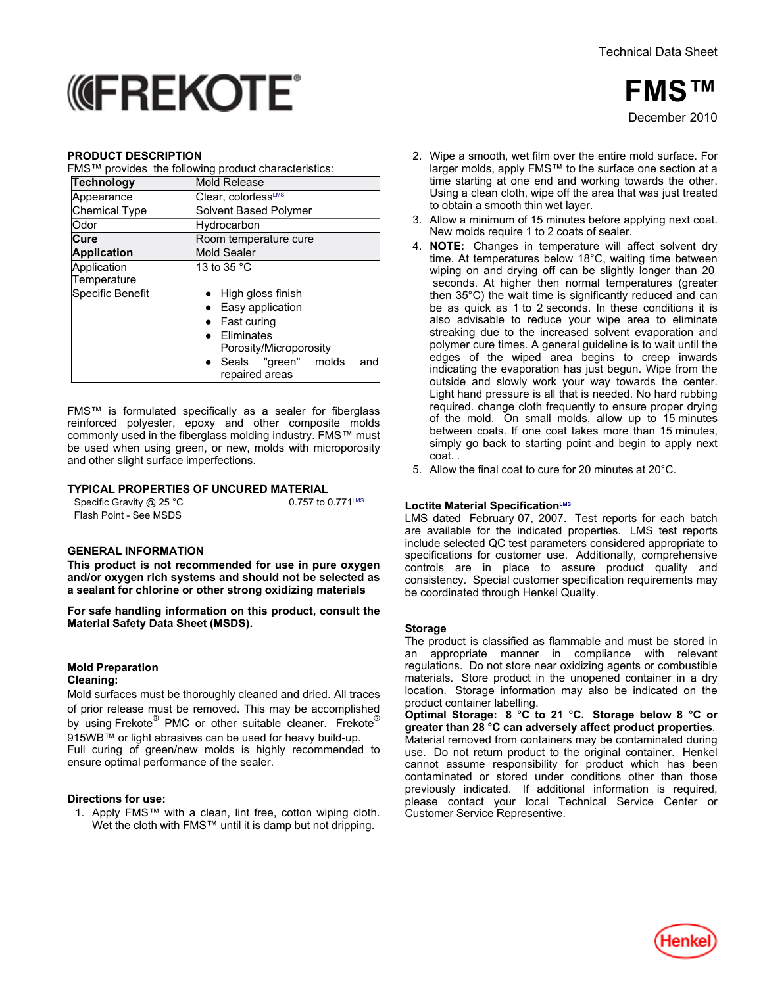**FMS™**

December<sub>2010</sub>

# *<u> MEREKOTE</u>*

#### **PRODUCT DESCRIPTION**

| FMS™ provides the following product characteristics: |  |  |  |  |
|------------------------------------------------------|--|--|--|--|
|------------------------------------------------------|--|--|--|--|

|                      | <b>I</b> MO PROVIDED THE RIPWING PRODUCT CHARGED ISTOS. |  |  |  |
|----------------------|---------------------------------------------------------|--|--|--|
| <b>Technology</b>    | Mold Release                                            |  |  |  |
| Appearance           | Clear. colorless <sup>LMS</sup>                         |  |  |  |
| <b>Chemical Type</b> | Solvent Based Polymer                                   |  |  |  |
| Odor                 | Hydrocarbon                                             |  |  |  |
| Cure                 | Room temperature cure                                   |  |  |  |
| <b>Application</b>   | <b>Mold Sealer</b>                                      |  |  |  |
| Application          | 13 to 35 °C                                             |  |  |  |
| Temperature          |                                                         |  |  |  |
| Specific Benefit     | High gloss finish                                       |  |  |  |
|                      | Easy application<br>$\bullet$                           |  |  |  |
|                      | <b>Fast curing</b>                                      |  |  |  |
|                      | <b>Fliminates</b>                                       |  |  |  |
|                      | Porosity/Microporosity                                  |  |  |  |
|                      | Seals "green" molds<br>and<br>repaired areas            |  |  |  |

FMS™ is formulated specifically as a sealer for fiberglass reinforced polyester, epoxy and other composite molds commonly used in the fiberglass molding industry. FMS™ must be used when using green, or new, molds with microporosity and other slight surface imperfections.

## **TYPICAL PROPERTIES OF UNCURED MATERIAL**

| Specific Gravity $@$ 25 °C | 0.757 to 0.771 <sup>LMS</sup> |
|----------------------------|-------------------------------|
| Flash Point - See MSDS     |                               |

#### **GENERAL INFORMATION**

**This product is not recommended for use in pure oxygen and/or oxygen rich systems and should not be selected as a sealant for chlorine or other strong oxidizing materials**

**For safe handling information on this product, consult the Material Safety Data Sheet (MSDS).**

#### **Mold Preparation Cleaning:**

Mold surfaces must be thoroughly cleaned and dried. All traces of prior release must be removed. This may be accomplished by using Frekote® PMC or other suitable cleaner. Frekote® 915WB™ or light abrasives can be used for heavy build-up. Full curing of green/new molds is highly recommended to ensure optimal performance of the sealer.

## **Directions for use:**

1. Apply FMS™ with a clean, lint free, cotton wiping cloth. Wet the cloth with FMS™ until it is damp but not dripping.

- 2. Wipe a smooth, wet film over the entire mold surface. For larger molds, apply FMS™ to the surface one section at a time starting at one end and working towards the other. Using a clean cloth, wipe off the area that was just treated to obtain a smooth thin wet layer.
- 3. Allow a minimum of 15 minutes before applying next coat. New molds require 1 to 2 coats of sealer.
- 4. **NOTE:** Changes in temperature will affect solvent dry time. At temperatures below 18°C, waiting time between wiping on and drying off can be slightly longer than 20 seconds. At higher then normal temperatures (greater then 35°C) the wait time is significantly reduced and can be as quick as 1 to 2 seconds. In these conditions it is also advisable to reduce your wipe area to eliminate streaking due to the increased solvent evaporation and polymer cure times. A general guideline is to wait until the edges of the wiped area begins to creep inwards indicating the evaporation has just begun. Wipe from the outside and slowly work your way towards the center. Light hand pressure is all that is needed. No hard rubbing required. change cloth frequently to ensure proper drying of the mold. On small molds, allow up to 15 minutes between coats. If one coat takes more than 15 minutes, simply go back to starting point and begin to apply next coat. .
- 5. Allow the final coat to cure for 20 minutes at 20°C.

## **Loctite Material SpecificationLMS**

LMS dated February 07, 2007. Test reports for each batch are available for the indicated properties. LMS test reports include selected QC test parameters considered appropriate to specifications for customer use. Additionally, comprehensive controls are in place to assure product quality and consistency. Special customer specification requirements may be coordinated through Henkel Quality.

#### **Storage**

The product is classified as flammable and must be stored in an appropriate manner in compliance with relevant regulations. Do not store near oxidizing agents or combustible materials. Store product in the unopened container in a dry location. Storage information may also be indicated on the product container labelling.

**Optimal Storage: 8 °C to 21 °C. Storage below 8 °C or greater than 28 °C can adversely affect product properties**. Material removed from containers may be contaminated during use. Do not return product to the original container. Henkel cannot assume responsibility for product which has been contaminated or stored under conditions other than those previously indicated. If additional information is required, please contact your local Technical Service Center or Customer Service Representive.